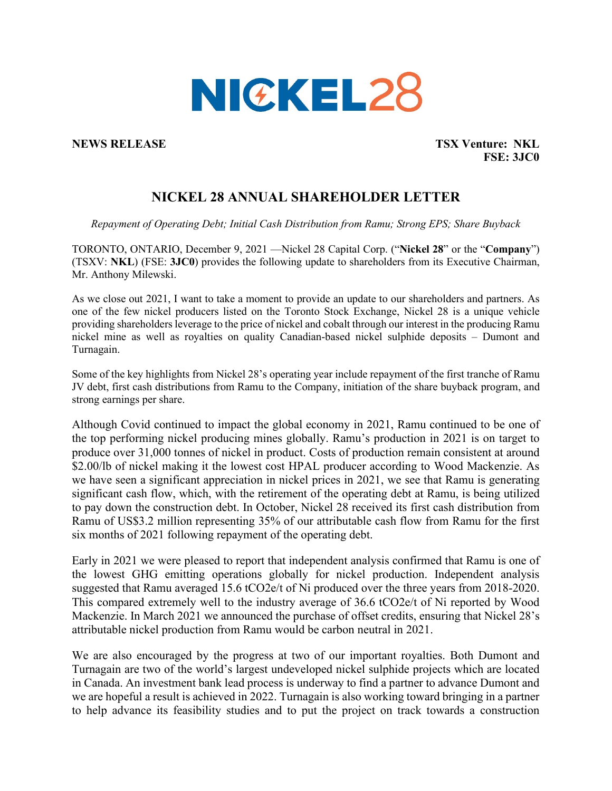

**NEWS RELEASE TSX Venture: NKL FSE: 3JC0** 

# **NICKEL 28 ANNUAL SHAREHOLDER LETTER**

*Repayment of Operating Debt; Initial Cash Distribution from Ramu; Strong EPS; Share Buyback* 

TORONTO, ONTARIO, December 9, 2021 —Nickel 28 Capital Corp. ("**Nickel 28**" or the "**Company**") (TSXV: **NKL**) (FSE: **3JC0**) provides the following update to shareholders from its Executive Chairman, Mr. Anthony Milewski.

As we close out 2021, I want to take a moment to provide an update to our shareholders and partners. As one of the few nickel producers listed on the Toronto Stock Exchange, Nickel 28 is a unique vehicle providing shareholders leverage to the price of nickel and cobalt through our interest in the producing Ramu nickel mine as well as royalties on quality Canadian-based nickel sulphide deposits – Dumont and Turnagain.

Some of the key highlights from Nickel 28's operating year include repayment of the first tranche of Ramu JV debt, first cash distributions from Ramu to the Company, initiation of the share buyback program, and strong earnings per share.

Although Covid continued to impact the global economy in 2021, Ramu continued to be one of the top performing nickel producing mines globally. Ramu's production in 2021 is on target to produce over 31,000 tonnes of nickel in product. Costs of production remain consistent at around \$2.00/lb of nickel making it the lowest cost HPAL producer according to Wood Mackenzie. As we have seen a significant appreciation in nickel prices in 2021, we see that Ramu is generating significant cash flow, which, with the retirement of the operating debt at Ramu, is being utilized to pay down the construction debt. In October, Nickel 28 received its first cash distribution from Ramu of US\$3.2 million representing 35% of our attributable cash flow from Ramu for the first six months of 2021 following repayment of the operating debt.

Early in 2021 we were pleased to report that independent analysis confirmed that Ramu is one of the lowest GHG emitting operations globally for nickel production. Independent analysis suggested that Ramu averaged 15.6 tCO2e/t of Ni produced over the three years from 2018-2020. This compared extremely well to the industry average of 36.6 tCO2e/t of Ni reported by Wood Mackenzie. In March 2021 we announced the purchase of offset credits, ensuring that Nickel 28's attributable nickel production from Ramu would be carbon neutral in 2021.

We are also encouraged by the progress at two of our important royalties. Both Dumont and Turnagain are two of the world's largest undeveloped nickel sulphide projects which are located in Canada. An investment bank lead process is underway to find a partner to advance Dumont and we are hopeful a result is achieved in 2022. Turnagain is also working toward bringing in a partner to help advance its feasibility studies and to put the project on track towards a construction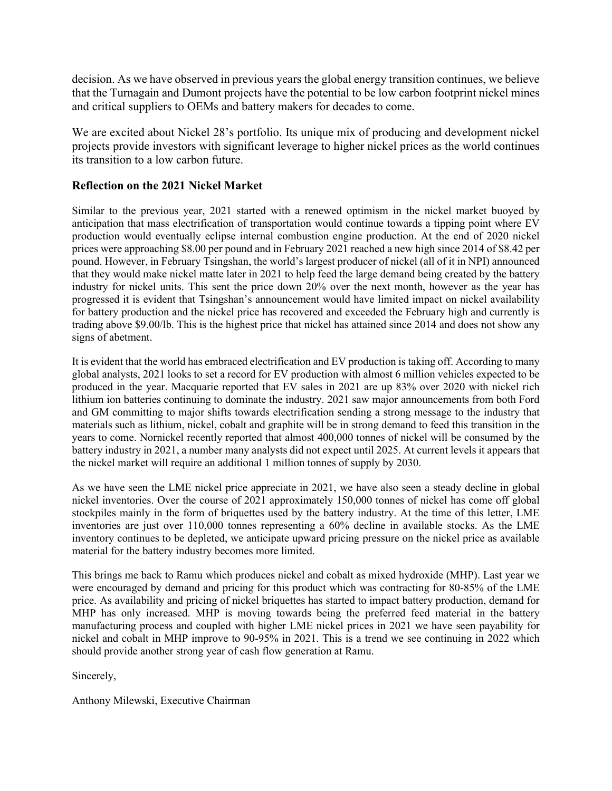decision. As we have observed in previous years the global energy transition continues, we believe that the Turnagain and Dumont projects have the potential to be low carbon footprint nickel mines and critical suppliers to OEMs and battery makers for decades to come.

We are excited about Nickel 28's portfolio. Its unique mix of producing and development nickel projects provide investors with significant leverage to higher nickel prices as the world continues its transition to a low carbon future.

## **Reflection on the 2021 Nickel Market**

Similar to the previous year, 2021 started with a renewed optimism in the nickel market buoyed by anticipation that mass electrification of transportation would continue towards a tipping point where EV production would eventually eclipse internal combustion engine production. At the end of 2020 nickel prices were approaching \$8.00 per pound and in February 2021 reached a new high since 2014 of \$8.42 per pound. However, in February Tsingshan, the world's largest producer of nickel (all of it in NPI) announced that they would make nickel matte later in 2021 to help feed the large demand being created by the battery industry for nickel units. This sent the price down 20% over the next month, however as the year has progressed it is evident that Tsingshan's announcement would have limited impact on nickel availability for battery production and the nickel price has recovered and exceeded the February high and currently is trading above \$9.00/lb. This is the highest price that nickel has attained since 2014 and does not show any signs of abetment.

It is evident that the world has embraced electrification and EV production is taking off. According to many global analysts, 2021 looks to set a record for EV production with almost 6 million vehicles expected to be produced in the year. Macquarie reported that EV sales in 2021 are up 83% over 2020 with nickel rich lithium ion batteries continuing to dominate the industry. 2021 saw major announcements from both Ford and GM committing to major shifts towards electrification sending a strong message to the industry that materials such as lithium, nickel, cobalt and graphite will be in strong demand to feed this transition in the years to come. Nornickel recently reported that almost 400,000 tonnes of nickel will be consumed by the battery industry in 2021, a number many analysts did not expect until 2025. At current levels it appears that the nickel market will require an additional 1 million tonnes of supply by 2030.

As we have seen the LME nickel price appreciate in 2021, we have also seen a steady decline in global nickel inventories. Over the course of 2021 approximately 150,000 tonnes of nickel has come off global stockpiles mainly in the form of briquettes used by the battery industry. At the time of this letter, LME inventories are just over 110,000 tonnes representing a 60% decline in available stocks. As the LME inventory continues to be depleted, we anticipate upward pricing pressure on the nickel price as available material for the battery industry becomes more limited.

This brings me back to Ramu which produces nickel and cobalt as mixed hydroxide (MHP). Last year we were encouraged by demand and pricing for this product which was contracting for 80-85% of the LME price. As availability and pricing of nickel briquettes has started to impact battery production, demand for MHP has only increased. MHP is moving towards being the preferred feed material in the battery manufacturing process and coupled with higher LME nickel prices in 2021 we have seen payability for nickel and cobalt in MHP improve to 90-95% in 2021. This is a trend we see continuing in 2022 which should provide another strong year of cash flow generation at Ramu.

Sincerely,

Anthony Milewski, Executive Chairman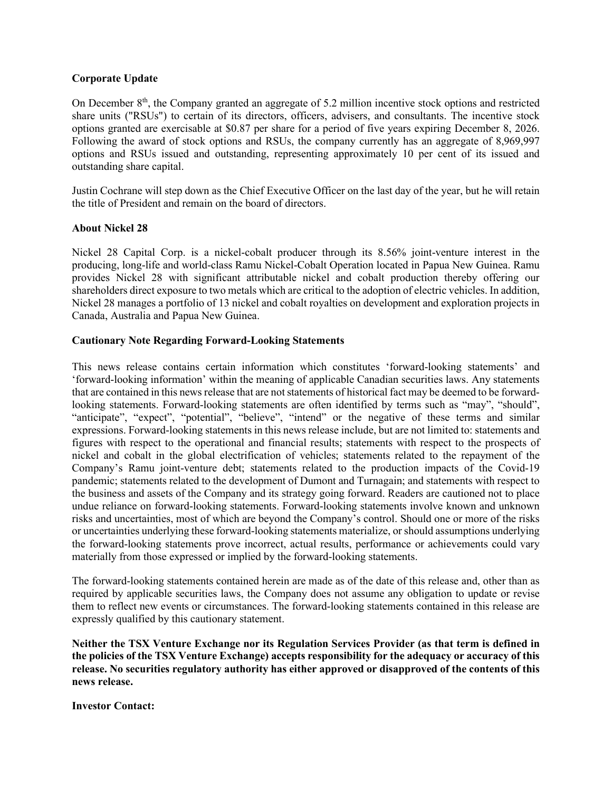### **Corporate Update**

On December 8<sup>th</sup>, the Company granted an aggregate of 5.2 million incentive stock options and restricted share units ("RSUs") to certain of its directors, officers, advisers, and consultants. The incentive stock options granted are exercisable at \$0.87 per share for a period of five years expiring December 8, 2026. Following the award of stock options and RSUs, the company currently has an aggregate of 8,969,997 options and RSUs issued and outstanding, representing approximately 10 per cent of its issued and outstanding share capital.

Justin Cochrane will step down as the Chief Executive Officer on the last day of the year, but he will retain the title of President and remain on the board of directors.

#### **About Nickel 28**

Nickel 28 Capital Corp. is a nickel-cobalt producer through its 8.56% joint-venture interest in the producing, long-life and world-class Ramu Nickel-Cobalt Operation located in Papua New Guinea. Ramu provides Nickel 28 with significant attributable nickel and cobalt production thereby offering our shareholders direct exposure to two metals which are critical to the adoption of electric vehicles. In addition, Nickel 28 manages a portfolio of 13 nickel and cobalt royalties on development and exploration projects in Canada, Australia and Papua New Guinea.

### **Cautionary Note Regarding Forward-Looking Statements**

This news release contains certain information which constitutes 'forward-looking statements' and 'forward-looking information' within the meaning of applicable Canadian securities laws. Any statements that are contained in this news release that are not statements of historical fact may be deemed to be forwardlooking statements. Forward-looking statements are often identified by terms such as "may", "should", "anticipate", "expect", "potential", "believe", "intend" or the negative of these terms and similar expressions. Forward-looking statements in this news release include, but are not limited to: statements and figures with respect to the operational and financial results; statements with respect to the prospects of nickel and cobalt in the global electrification of vehicles; statements related to the repayment of the Company's Ramu joint-venture debt; statements related to the production impacts of the Covid-19 pandemic; statements related to the development of Dumont and Turnagain; and statements with respect to the business and assets of the Company and its strategy going forward. Readers are cautioned not to place undue reliance on forward-looking statements. Forward-looking statements involve known and unknown risks and uncertainties, most of which are beyond the Company's control. Should one or more of the risks or uncertainties underlying these forward-looking statements materialize, or should assumptions underlying the forward-looking statements prove incorrect, actual results, performance or achievements could vary materially from those expressed or implied by the forward-looking statements.

The forward-looking statements contained herein are made as of the date of this release and, other than as required by applicable securities laws, the Company does not assume any obligation to update or revise them to reflect new events or circumstances. The forward-looking statements contained in this release are expressly qualified by this cautionary statement.

**Neither the TSX Venture Exchange nor its Regulation Services Provider (as that term is defined in the policies of the TSX Venture Exchange) accepts responsibility for the adequacy or accuracy of this release. No securities regulatory authority has either approved or disapproved of the contents of this news release.**

**Investor Contact:**